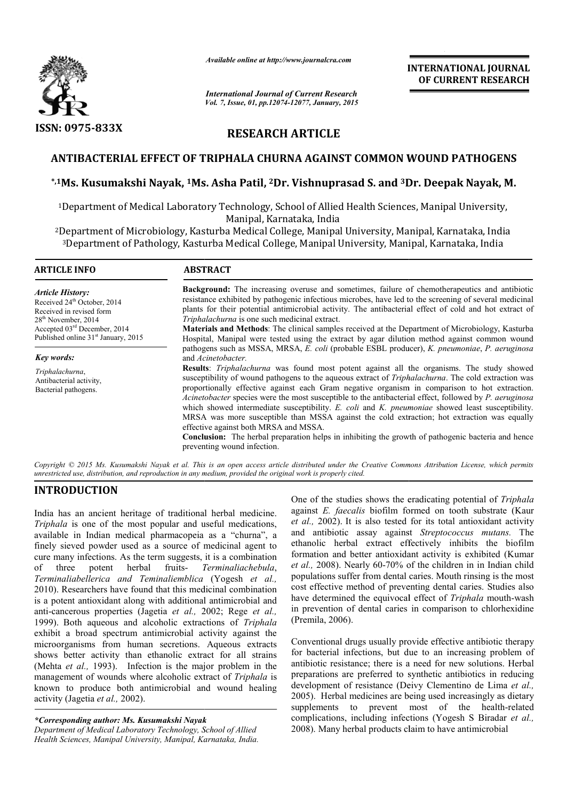

*Available online at http://www.journalcra.com*

# **RESEARCH ARTICLE**

# **ANTIBACTERIAL EFFECT OF TRIPHALA CHURNA AGAINST COMMON WOUND PATHOGENS**

# ANTIBACTERIAL EFFECT OF TRIPHALA CHURNA AGAINST COMMON WOUND PATHOGENS<br>\*<sup>,1</sup>Ms. Kusumakshi Nayak, <sup>1</sup>Ms. Asha Patil, <sup>2</sup>Dr. Vishnuprasad S. and <sup>3</sup>Dr. Deepak Nayak, M.

|                                                                                                                                                                                                                                                                                                                                                                                                                                                                                                                                                                                                                                                                                                                                                                                                                                                                                                                                                                                                                                                                                                                                        | unuvit viime ui nup.//www.jvurnuitru.com                                                                                                                                                                                                                                                                                                                                                                                                                                                                                                                                                                                                                                                                                                                                                                                                                                                                           |                                 | <b>INTERNATIONAL JOURNAL</b><br>OF CURRENT RESEARCH                                                                                                                                                                                                                                                                                                                                                                                                                                                                                                                                                                                                                                                                                                                                                                                                                                                                                                                                                                                                                                                                                                                                         |  |  |
|----------------------------------------------------------------------------------------------------------------------------------------------------------------------------------------------------------------------------------------------------------------------------------------------------------------------------------------------------------------------------------------------------------------------------------------------------------------------------------------------------------------------------------------------------------------------------------------------------------------------------------------------------------------------------------------------------------------------------------------------------------------------------------------------------------------------------------------------------------------------------------------------------------------------------------------------------------------------------------------------------------------------------------------------------------------------------------------------------------------------------------------|--------------------------------------------------------------------------------------------------------------------------------------------------------------------------------------------------------------------------------------------------------------------------------------------------------------------------------------------------------------------------------------------------------------------------------------------------------------------------------------------------------------------------------------------------------------------------------------------------------------------------------------------------------------------------------------------------------------------------------------------------------------------------------------------------------------------------------------------------------------------------------------------------------------------|---------------------------------|---------------------------------------------------------------------------------------------------------------------------------------------------------------------------------------------------------------------------------------------------------------------------------------------------------------------------------------------------------------------------------------------------------------------------------------------------------------------------------------------------------------------------------------------------------------------------------------------------------------------------------------------------------------------------------------------------------------------------------------------------------------------------------------------------------------------------------------------------------------------------------------------------------------------------------------------------------------------------------------------------------------------------------------------------------------------------------------------------------------------------------------------------------------------------------------------|--|--|
|                                                                                                                                                                                                                                                                                                                                                                                                                                                                                                                                                                                                                                                                                                                                                                                                                                                                                                                                                                                                                                                                                                                                        | <b>International Journal of Current Research</b><br>Vol. 7, Issue, 01, pp.12074-12077, January, 2015                                                                                                                                                                                                                                                                                                                                                                                                                                                                                                                                                                                                                                                                                                                                                                                                               |                                 |                                                                                                                                                                                                                                                                                                                                                                                                                                                                                                                                                                                                                                                                                                                                                                                                                                                                                                                                                                                                                                                                                                                                                                                             |  |  |
| <b>ISSN: 0975-833X</b>                                                                                                                                                                                                                                                                                                                                                                                                                                                                                                                                                                                                                                                                                                                                                                                                                                                                                                                                                                                                                                                                                                                 |                                                                                                                                                                                                                                                                                                                                                                                                                                                                                                                                                                                                                                                                                                                                                                                                                                                                                                                    | <b>RESEARCH ARTICLE</b>         |                                                                                                                                                                                                                                                                                                                                                                                                                                                                                                                                                                                                                                                                                                                                                                                                                                                                                                                                                                                                                                                                                                                                                                                             |  |  |
|                                                                                                                                                                                                                                                                                                                                                                                                                                                                                                                                                                                                                                                                                                                                                                                                                                                                                                                                                                                                                                                                                                                                        |                                                                                                                                                                                                                                                                                                                                                                                                                                                                                                                                                                                                                                                                                                                                                                                                                                                                                                                    |                                 | ANTIBACTERIAL EFFECT OF TRIPHALA CHURNA AGAINST COMMON WOUND PATHOGENS                                                                                                                                                                                                                                                                                                                                                                                                                                                                                                                                                                                                                                                                                                                                                                                                                                                                                                                                                                                                                                                                                                                      |  |  |
|                                                                                                                                                                                                                                                                                                                                                                                                                                                                                                                                                                                                                                                                                                                                                                                                                                                                                                                                                                                                                                                                                                                                        |                                                                                                                                                                                                                                                                                                                                                                                                                                                                                                                                                                                                                                                                                                                                                                                                                                                                                                                    |                                 | <sup>*,1</sup> Ms. Kusumakshi Nayak, <sup>1</sup> Ms. Asha Patil, <sup>2</sup> Dr. Vishnuprasad S. and <sup>3</sup> Dr. Deepak Nayak, M.                                                                                                                                                                                                                                                                                                                                                                                                                                                                                                                                                                                                                                                                                                                                                                                                                                                                                                                                                                                                                                                    |  |  |
|                                                                                                                                                                                                                                                                                                                                                                                                                                                                                                                                                                                                                                                                                                                                                                                                                                                                                                                                                                                                                                                                                                                                        | <sup>1</sup> Department of Medical Laboratory Technology, School of Allied Health Sciences, Manipal University,<br>Manipal, Karnataka, India                                                                                                                                                                                                                                                                                                                                                                                                                                                                                                                                                                                                                                                                                                                                                                       |                                 |                                                                                                                                                                                                                                                                                                                                                                                                                                                                                                                                                                                                                                                                                                                                                                                                                                                                                                                                                                                                                                                                                                                                                                                             |  |  |
|                                                                                                                                                                                                                                                                                                                                                                                                                                                                                                                                                                                                                                                                                                                                                                                                                                                                                                                                                                                                                                                                                                                                        | <sup>2</sup> Department of Microbiology, Kasturba Medical College, Manipal University, Manipal, Karnataka, India<br><sup>3</sup> Department of Pathology, Kasturba Medical College, Manipal University, Manipal, Karnataka, India                                                                                                                                                                                                                                                                                                                                                                                                                                                                                                                                                                                                                                                                                  |                                 |                                                                                                                                                                                                                                                                                                                                                                                                                                                                                                                                                                                                                                                                                                                                                                                                                                                                                                                                                                                                                                                                                                                                                                                             |  |  |
| <b>ARTICLE INFO</b>                                                                                                                                                                                                                                                                                                                                                                                                                                                                                                                                                                                                                                                                                                                                                                                                                                                                                                                                                                                                                                                                                                                    | <b>ABSTRACT</b>                                                                                                                                                                                                                                                                                                                                                                                                                                                                                                                                                                                                                                                                                                                                                                                                                                                                                                    |                                 |                                                                                                                                                                                                                                                                                                                                                                                                                                                                                                                                                                                                                                                                                                                                                                                                                                                                                                                                                                                                                                                                                                                                                                                             |  |  |
| <b>Article History:</b><br>Received 24 <sup>th</sup> October, 2014<br>Received in revised form<br>28 <sup>th</sup> November, 2014<br>Accepted 03rd December, 2014<br>Published online 31 <sup>st</sup> January, 2015                                                                                                                                                                                                                                                                                                                                                                                                                                                                                                                                                                                                                                                                                                                                                                                                                                                                                                                   | Background: The increasing overuse and sometimes, failure of chemotherapeutics and antibiotic<br>resistance exhibited by pathogenic infectious microbes, have led to the screening of several medicinal<br>plants for their potential antimicrobial activity. The antibacterial effect of cold and hot extract of<br>Triphalachurna is one such medicinal extract.<br>Materials and Methods: The clinical samples received at the Department of Microbiology, Kasturba<br>Hospital, Manipal were tested using the extract by agar dilution method against common wound                                                                                                                                                                                                                                                                                                                                             |                                 |                                                                                                                                                                                                                                                                                                                                                                                                                                                                                                                                                                                                                                                                                                                                                                                                                                                                                                                                                                                                                                                                                                                                                                                             |  |  |
| Key words:<br>Triphalachurna,<br>Antibacterial activity,<br>Bacterial pathogens.                                                                                                                                                                                                                                                                                                                                                                                                                                                                                                                                                                                                                                                                                                                                                                                                                                                                                                                                                                                                                                                       | pathogens such as MSSA, MRSA, E. coli (probable ESBL producer), K. pneumoniae, P. aeruginosa<br>and Acinetobacter.<br>Results: Triphalachurna was found most potent against all the organisms. The study showed<br>susceptibility of wound pathogens to the aqueous extract of Triphalachurna. The cold extraction was<br>proportionally effective against each Gram negative organism in comparison to hot extraction.<br>Acinetobacter species were the most susceptible to the antibacterial effect, followed by P. aeruginosa<br>which showed intermediate susceptibility. E. coli and K. pneumoniae showed least susceptibility.<br>MRSA was more susceptible than MSSA against the cold extraction; hot extraction was equally<br>effective against both MRSA and MSSA.<br>Conclusion: The herbal preparation helps in inhibiting the growth of pathogenic bacteria and hence<br>preventing wound infection. |                                 |                                                                                                                                                                                                                                                                                                                                                                                                                                                                                                                                                                                                                                                                                                                                                                                                                                                                                                                                                                                                                                                                                                                                                                                             |  |  |
|                                                                                                                                                                                                                                                                                                                                                                                                                                                                                                                                                                                                                                                                                                                                                                                                                                                                                                                                                                                                                                                                                                                                        | unrestricted use, distribution, and reproduction in any medium, provided the original work is properly cited.                                                                                                                                                                                                                                                                                                                                                                                                                                                                                                                                                                                                                                                                                                                                                                                                      |                                 | Copyright © 2015 Ms. Kusumakshi Nayak et al. This is an open access article distributed under the Creative Commons Attribution License, which permits                                                                                                                                                                                                                                                                                                                                                                                                                                                                                                                                                                                                                                                                                                                                                                                                                                                                                                                                                                                                                                       |  |  |
| <b>INTRODUCTION</b><br>India has an ancient heritage of traditional herbal medicine.<br>Triphala is one of the most popular and useful medications,<br>available in Indian medical pharmacopeia as a "churna", a<br>finely sieved powder used as a source of medicinal agent to<br>cure many infections. As the term suggests, it is a combination<br>herbal<br>of<br>three<br>potent<br>Terminaliabellerica and Teminaliemblica (Yogesh et al.,<br>2010). Researchers have found that this medicinal combination<br>is a potent antioxidant along with additional antimicrobial and<br>anti-cancerous properties (Jagetia et al., 2002; Rege et al.,<br>1999). Both aqueous and alcoholic extractions of Triphala<br>exhibit a broad spectrum antimicrobial activity against the<br>microorganisms from human secretions. Aqueous extracts<br>shows better activity than ethanolic extract for all strains<br>(Mehta et al., 1993). Infection is the major problem in the<br>management of wounds where alcoholic extract of Triphala is<br>known to produce both antimicrobial and wound healing<br>activity (Jagetia et al., 2002). | fruits-<br>Terminaliachebula,                                                                                                                                                                                                                                                                                                                                                                                                                                                                                                                                                                                                                                                                                                                                                                                                                                                                                      | (Premila, 2006).<br>supplements | One of the studies shows the eradicating potential of Triphala<br>against E. faecalis biofilm formed on tooth substrate (Kaur<br>et al., 2002). It is also tested for its total antioxidant activity<br>and antibiotic assay against Streptococcus mutans. The<br>ethanolic herbal extract effectively inhibits the biofilm<br>formation and better antioxidant activity is exhibited (Kumar<br>et al., 2008). Nearly 60-70% of the children in in Indian child<br>populations suffer from dental caries. Mouth rinsing is the most<br>cost effective method of preventing dental caries. Studies also<br>have determined the equivocal effect of Triphala mouth-wash<br>in prevention of dental caries in comparison to chlorhexidine<br>Conventional drugs usually provide effective antibiotic therapy<br>for bacterial infections, but due to an increasing problem of<br>antibiotic resistance; there is a need for new solutions. Herbal<br>preparations are preferred to synthetic antibiotics in reducing<br>development of resistance (Deivy Clementino de Lima et al.,<br>2005). Herbal medicines are being used increasingly as dietary<br>to prevent most of the health-related |  |  |
| *Corresponding author: Ms. Kusumakshi Nayak<br>Department of Medical Laboratory Technology, School of Allied                                                                                                                                                                                                                                                                                                                                                                                                                                                                                                                                                                                                                                                                                                                                                                                                                                                                                                                                                                                                                           |                                                                                                                                                                                                                                                                                                                                                                                                                                                                                                                                                                                                                                                                                                                                                                                                                                                                                                                    |                                 | complications, including infections (Yogesh S Biradar et al.,<br>2008). Many herbal products claim to have antimicrobial                                                                                                                                                                                                                                                                                                                                                                                                                                                                                                                                                                                                                                                                                                                                                                                                                                                                                                                                                                                                                                                                    |  |  |

# **INTRODUCTION**

*Department of Medical Laboratory Technology, School of Allied Health Sciences, Manipal University, Manipal, Karnataka, India India.*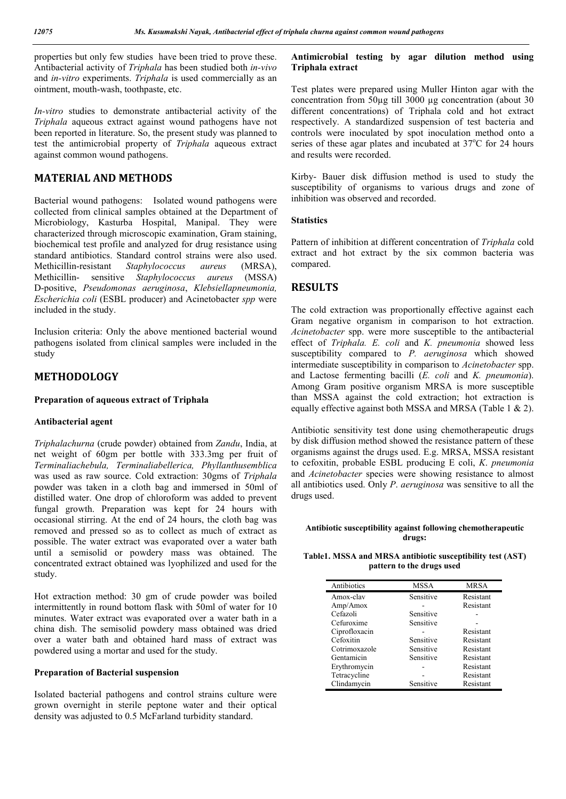properties but only few studies have been tried to prove these. Antibacterial activity of *Triphala* has been studied both *in-vivo* and *in-vitro* experiments. *Triphala* is used commercially as an ointment, mouth-wash, toothpaste, etc.

*In-vitro* studies to demonstrate antibacterial activity of the *Triphala* aqueous extract against wound pathogens have not been reported in literature. So, the present study was planned to test the antimicrobial property of *Triphala* aqueous extract against common wound pathogens.

## **MATERIAL AND METHODS**

Bacterial wound pathogens: Isolated wound pathogens were collected from clinical samples obtained at the Department of Microbiology, Kasturba Hospital, Manipal. They were characterized through microscopic examination, Gram staining, biochemical test profile and analyzed for drug resistance using standard antibiotics. Standard control strains were also used. Methicillin-resistant *Staphylococcus aureus* (MRSA), Methicillin- sensitive *Staphylococcus aureus* (MSSA) D-positive, *Pseudomonas aeruginosa*, *Klebsiellapneumonia, Escherichia coli* (ESBL producer) and Acinetobacter *spp* were included in the study.

Inclusion criteria: Only the above mentioned bacterial wound pathogens isolated from clinical samples were included in the study

# **METHODOLOGY**

### **Preparation of aqueous extract of Triphala**

#### **Antibacterial agent**

*Triphalachurna* (crude powder) obtained from *Zandu*, India, at net weight of 60gm per bottle with 333.3mg per fruit of *Terminaliachebula, Terminaliabellerica, Phyllanthusemblica* was used as raw source. Cold extraction: 30gms of *Triphala* powder was taken in a cloth bag and immersed in 50ml of distilled water. One drop of chloroform was added to prevent fungal growth. Preparation was kept for 24 hours with occasional stirring. At the end of 24 hours, the cloth bag was removed and pressed so as to collect as much of extract as possible. The water extract was evaporated over a water bath until a semisolid or powdery mass was obtained. The concentrated extract obtained was lyophilized and used for the study.

Hot extraction method: 30 gm of crude powder was boiled intermittently in round bottom flask with 50ml of water for 10 minutes. Water extract was evaporated over a water bath in a china dish. The semisolid powdery mass obtained was dried over a water bath and obtained hard mass of extract was powdered using a mortar and used for the study.

#### **Preparation of Bacterial suspension**

Isolated bacterial pathogens and control strains culture were grown overnight in sterile peptone water and their optical density was adjusted to 0.5 McFarland turbidity standard.

## **Antimicrobial testing by agar dilution method using Triphala extract**

Test plates were prepared using Muller Hinton agar with the concentration from 50µg till 3000 µg concentration (about 30 different concentrations) of Triphala cold and hot extract respectively. A standardized suspension of test bacteria and controls were inoculated by spot inoculation method onto a series of these agar plates and incubated at 37°C for 24 hours and results were recorded.

Kirby- Bauer disk diffusion method is used to study the susceptibility of organisms to various drugs and zone of inhibition was observed and recorded.

#### **Statistics**

Pattern of inhibition at different concentration of *Triphala* cold extract and hot extract by the six common bacteria was compared.

## **RESULTS**

The cold extraction was proportionally effective against each Gram negative organism in comparison to hot extraction. *Acinetobacter* spp. were more susceptible to the antibacterial effect of *Triphala. E. coli* and *K. pneumonia* showed less susceptibility compared to *P. aeruginosa* which showed intermediate susceptibility in comparison to *Acinetobacter* spp. and Lactose fermenting bacilli (*E. coli* and *K. pneumonia*). Among Gram positive organism MRSA is more susceptible than MSSA against the cold extraction; hot extraction is equally effective against both MSSA and MRSA (Table 1 & 2).

Antibiotic sensitivity test done using chemotherapeutic drugs by disk diffusion method showed the resistance pattern of these organisms against the drugs used. E.g. MRSA, MSSA resistant to cefoxitin, probable ESBL producing E coli, *K*. *pneumonia* and *Acinetobacter* species were showing resistance to almost all antibiotics used. Only *P*. *aeruginosa* was sensitive to all the drugs used.

#### **Antibiotic susceptibility against following chemotherapeutic drugs:**

**Table1. MSSA and MRSA antibiotic susceptibility test (AST) pattern to the drugs used**

| Antibiotics   | <b>MSSA</b> | MRSA      |  |
|---------------|-------------|-----------|--|
| Amox-clay     | Sensitive   | Resistant |  |
| Amp/Amox      |             | Resistant |  |
| Cefazoli      | Sensitive   |           |  |
| Cefuroxime    | Sensitive   |           |  |
| Ciprofloxacin |             | Resistant |  |
| Cefoxitin     | Sensitive   | Resistant |  |
| Cotrimoxazole | Sensitive   | Resistant |  |
| Gentamicin    | Sensitive   | Resistant |  |
| Erythromycin  |             | Resistant |  |
| Tetracycline  |             | Resistant |  |
| Clindamycin   | Sensitive   | Resistant |  |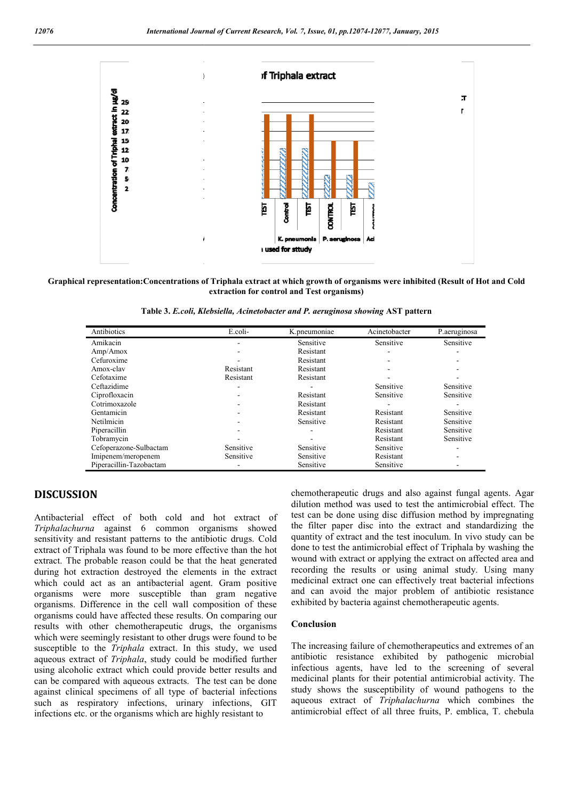

Graphical representation:Concentrations of Triphala extract at which growth of organisms were inhibited (Result of Hot and Cold extraction for control and Test organisms)

**Table 3.** *E.coli, Klebsiella, Acinetobacter and P. aeruginosa showing* **AST pattern**

| Antibiotics             | E.coli-   | K.pneumoniae | Acinetobacter            | P.aeruginosa |
|-------------------------|-----------|--------------|--------------------------|--------------|
| Amikacin                | ۰         | Sensitive    | Sensitive                | Sensitive    |
| Amp/Amox                |           | Resistant    |                          |              |
| Cefuroxime              |           | Resistant    |                          |              |
| Amox-clav               | Resistant | Resistant    | $\overline{\phantom{a}}$ |              |
| Cefotaxime              | Resistant | Resistant    |                          |              |
| Ceftazidime             |           |              | Sensitive                | Sensitive    |
| Ciprofloxacin           |           | Resistant    | Sensitive                | Sensitive    |
| Cotrimoxazole           |           | Resistant    |                          |              |
| Gentamicin              |           | Resistant    | Resistant                | Sensitive    |
| Netilmicin              |           | Sensitive    | Resistant                | Sensitive    |
| Piperacillin            |           |              | Resistant                | Sensitive    |
| Tobramycin              |           |              | Resistant                | Sensitive    |
| Cefoperazone-Sulbactam  | Sensitive | Sensitive    | Sensitive                |              |
| Imipenem/meropenem      | Sensitive | Sensitive    | Resistant                |              |
| Piperacillin-Tazobactam |           | Sensitive    | Sensitive                |              |

# **DISCUSSION**

Antibacterial effect of both cold and hot extract of *Triphalachurna* against 6 common organisms showed sensitivity and resistant patterns to the antibiotic drugs. Cold extract of Triphala was found to be more effective than the hot extract. The probable reason could be that the heat generated during hot extraction destroyed the elements in the extract which could act as an antibacterial agent. Gram positive organisms were more susceptible than gram negative organisms. Difference in the cell wall composition organisms could have affected these results. On comparing our results with other chemotherapeutic drugs, the organisms which were seemingly resistant to other drugs were found to be susceptible to the *Triphala* extract. In this study, we used aqueous extract of *Triphala*, study could be modified further using alcoholic extract which could provide better results and can be compared with aqueous extracts. The test can be done against clinical specimens of all type of bacterial infections such as respiratory infections, urinary infections, GIT infections etc. or the organisms which are highly resistant to son could be that the heat generated<br>stroyed the elements in the extract<br>antibacterial agent. Gram positive<br>susceptible than gram negative<br>the cell wall composition of these

chemotherapeutic drugs and also against fungal agents. Agar dilution method was used to test the antimicrobial effect. The test can be done using disc diffusion method by impregnating the filter paper disc into the extract and standardizing the quantity of extract and the test inoculum. In vivo study can be done to test the antimicrobial effect of Triphala by washing the wound with extract or applying the extract on affected area and recording the results or using animal study. Using many medicinal extract one can effectively treat bacterial infections and can avoid the major problem of antibiotic resistance exhibited by bacteria against chemotherapeutic agents. ethod was used to test the antimicrobial effect. The identify disc diffusion method by impregnating paper disc into the extract and standardizing the fextract and the test inoculum. In vivo study can be tt the antimicrobia

#### **Conclusion**

The increasing failure of chemotherapeutics and extremes of an and can avoid the major problem of antibiotic resistance<br>
exhibited by bacteria against chemotherapeutic agents.<br> **Conclusion**<br>
The increasing failure of chemotherapeutics and extremes of an<br>
antibiotic resistance exhibite infectious agents, have led to the screening of several medicinal plants for their potential antimicrobial activity. The study shows the susceptibility of wound pathogens to the aqueous extract of *Triphalachurna* which combines the antimicrobial effect of all three fruits, P. emblica, T. chebula agents, have led to the screening of several plants for their potential antimicrobial activity. The ws the susceptibility of wound pathogens to the